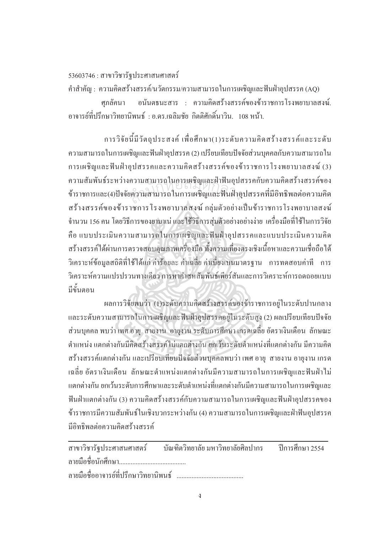## $53603746$  : สาขาวิชารัฐประศาสนศาสตร์

คำสำคัญ : ความคิดสร้างสรรค์/นวัตกรรม/ความสามารถในการเผชิญและฟันฝ่าอุปสรรค (AQ) ศภลัคนา อนันตธนะสาร : ความคิดสร้างสรรค์ของข้าราชการโรงพยาบาลสงฆ์. อาจารย์ที่ปรึกษาวิทยานิพนธ์ : อ.คร.เฉลิมชัย กิตติศักดิ์นาวิน. 108 หน้า. ·Í

การวิจัยนี้มีวัตถุประสงค์ เพื่อศึกษา(1)ระดับความคิดสร้างสรรค์และระดับ  $\overline{a}$ ำความสามารถในการเผชิญและฟันฝ่าอุปสรรค (2) เปรียบเทียบปัจจัยส่วนบุคคลกับความสามารถใน การเผชิญและฟืนฝ่าอุปสรรคและความคิดสร้างสรรค์ของข้าราชการโรงพยาบาลสงฆ์ (3) ำความสัมพันธ์ระหว่างความสามารถในการเผชิญและฝ่าฟันอุปสรรคกับความคิดสร้างสรรค์ของ ข้าราชการและ(4)ปัจจัยความสามารถในการเผชิญและฟันฝ่าอุปสรรคที่มีอิทธิพลต่อความคิด ิสร้างสรรค์ของข้าราชการ โรงพยาบาลสงฆ์ กลุ่มตัวอย่างเป็นข้าราชการ โรงพยาบาลสงฆ์ จำนวน 156 คน โดยวิธีการของยามาเน่ และใช้วิธีการสุ่มตัวอย่างอย่างง่าย เครื่องมือที่ใช้ในการวิจัย ºÉ คือ แบบประเมินความสามารถในการเผชิญและฟันฝ่าอุปสรรคและแบบประเมินความคิด สร้างสรรค์ได้ผ่านการตรวจสอบคุณภาพเครื่องมือ ทั้งความเที่ยงตรงเชิงเนื้อหาและความเชื่อถือได้ ºÉ ºÊ ºÉ วิเคราะห์ข้อมูลสถิติที่ใช้ได้แก่ ค่าร้อยละ ค่าเฉลี่ย ค่าเบี่ยงเบนมาตรฐาน การทดสอบค่าที การ วิเคราะห์ความแปรปรวนทางเดียว การหาค่าสหสัมพันธ์เพียร์สันและการวิเคราะห์การถดถอยแบบ ้<br>บี่ขับตอบ ความสามารถ เนการเผชญและผาพนอุบล<br>เความสามารถในการเผชิญและฟันฝ่าอุ

๚ลการวิจัยพบว่า (1)ระดับความคิดสร้างสรรค์ของข้าราชการอย่ในระดับปานกลาง และระดับความสามารถในการเผชิญและฟันฝ่าอุปสรรคอยู่ในระดับสูง (2) ผลเปรียบเทียบปัจจัย ส่วนบคคล พบว่า เพศ อาย สายงาน อายงาน ระดับการศึกษา เกรดเฉลี่ย อัตราเงินเดือน ลักษณะ ตำแหน่ง แตกต่างกันมีคิดสร้างสรรค์ไม่แตกต่างกัน ยกเว้นระดับตำแหน่งที่แตกต่างกัน มีความคิด ่ สร้างสรรค์แตกต่างกัน และเปรียบเทียบปัจจัยส่วนบุคคลพบว่า เพศ อายุ สายงาน อายุงาน เกรค ้ เฉลี่ย อัตราเงินเดือน ลักษณะตำแหน่งแตกต่างกันมีความสามารถในการเผชิญและฟันฝ่าไม่ แตกต่างกัน ยกเว้นระดับการศึกษาและระดับตำแหน่งที่แตกต่างกันมีความสามารถในการเผชิญและ ¸É ์ ฟันฝ่าแตกต่างกัน (3) ความคิดสร้างสรรค์กับความสามารถในการเผชิญและฟันฝ่าอปสรรคของ ์ข้าราชการมีความสัมพันธ์ในเชิงบวกระหว่างกัน (4) ความสามารถในการเผชิญและฝ่าฟันอปสรรค มีอิทธิพลต่อความคิดสร้างสรรค์

|  | ี่ สาขาวิชารัฐประศาสนศาสตร์ บัณฑิตวิทยาลัย มหาวิทยาลัยศิลปากร ปีการศึกษา 2554 |  |
|--|-------------------------------------------------------------------------------|--|
|  |                                                                               |  |
|  |                                                                               |  |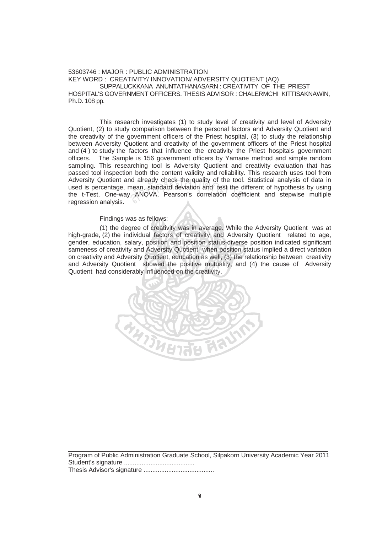## 53603746 : MAJOR : PUBLIC ADMINISTRATION KEY WORD : CREATIVITY/ INNOVATION/ ADVERSITY QUOTIENT (AQ) SUPPALUCKKANA ANUNTATHANASARN : CREATIVITY OF THE PRIEST HOSPITAL'S GOVERNMENT OFFICERS. THESIS ADVISOR : CHALERMCHI KITTISAKNAWIN, Ph.D. 108 pp.

This research investigates (1) to study level of creativity and level of Adversity Quotient, (2) to study comparison between the personal factors and Adversity Quotient and the creativity of the government officers of the Priest hospital, (3) to study the relationship between Adversity Quotient and creativity of the government officers of the Priest hospital and (4 ) to study the factors that influence the creativity the Priest hospitals government officers. The Sample is 156 government officers by Yamane method and simple random sampling. This researching tool is Adversity Quotient and creativity evaluation that has passed tool inspection both the content validity and reliability. This research uses tool from Adversity Quotient and already check the quality of the tool. Statistical analysis of data in used is percentage, mean, standard deviation and test the different of hypothesis by using the t-Test, One-way ANOVA, Pearson's correlation coefficient and stepwise multiple regression analysis. nd aiready check the quality of the tool<br>mean, standard deviation and test the c<br>ANOVA, Pearson's correlation coef

## Findings was as fellows:

(1) the degree of creativity was in average. While the Adversity Quotient was at high-grade, (2) the individual factors of creativity and Adversity Quotient related to age, gender, education, salary, position and position status-diverse position indicated significant sameness of creativity and Adversity Quotient when position status implied a direct variation on creativity and Adversity Quotient, education as well, (3) the relationship between creativity and Adversity Quotient showed the positive mutuality, and (4) the cause of Adversity Quotient had considerably influenced on the creativity.



Program of Public Administration Graduate School, Silpakorn University Academic Year 2011 Student's signature ........................................ Thesis Advisor's signature ........................................